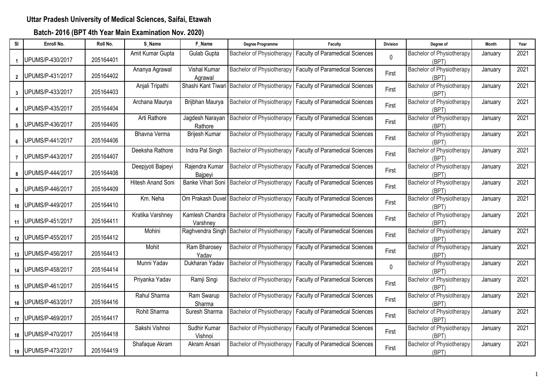## **Batch- 2016 (BPT 4th Year Main Examination Nov. 2020)**

| SI             | Enroll No.           | Roll No.  | S_Name            | F_Name                      | Degree Programme                           | Faculty                                | <b>Division</b> | Degree of                                 | Month   | Year |
|----------------|----------------------|-----------|-------------------|-----------------------------|--------------------------------------------|----------------------------------------|-----------------|-------------------------------------------|---------|------|
|                | UPUMS/P-430/2017     | 205164401 | Amit Kumar Gupta  | Gulab Gupta                 | Bachelor of Physiotherapy                  | <b>Faculty of Paramedical Sciences</b> | $\mathbf{0}$    | <b>Bachelor of Physiotherapy</b><br>(BPT) | January | 2021 |
|                | 2 UPUMS/P-431/2017   | 205164402 | Ananya Agrawal    | Vishal Kumar<br>Agrawal     | Bachelor of Physiotherapy                  | <b>Faculty of Paramedical Sciences</b> | First           | Bachelor of Physiotherapy<br>(BPT)        | January | 2021 |
|                | 3 UPUMS/P-433/2017   | 205164403 | Anjali Tripathi   | Shashi Kant Tiwari          | Bachelor of Physiotherapy                  | <b>Faculty of Paramedical Sciences</b> | First           | Bachelor of Physiotherapy<br>(BPT)        | January | 2021 |
|                | 4 UPUMS/P-435/2017   | 205164404 | Archana Maurya    | Brijbhan Maurya             | Bachelor of Physiotherapy                  | <b>Faculty of Paramedical Sciences</b> | First           | <b>Bachelor of Physiotherapy</b><br>(BPT) | January | 2021 |
|                | 5 UPUMS/P-436/2017   | 205164405 | Arti Rathore      | Jagdesh Narayan<br>Rathore  | Bachelor of Physiotherapy                  | <b>Faculty of Paramedical Sciences</b> | First           | Bachelor of Physiotherapy<br>(BPT)        | January | 2021 |
|                | 6 UPUMS/P-441/2017   | 205164406 | Bhavna Verma      | <b>Brijesh Kumar</b>        | Bachelor of Physiotherapy                  | <b>Faculty of Paramedical Sciences</b> | First           | <b>Bachelor of Physiotherapy</b><br>(BPT) | January | 2021 |
| $\overline{7}$ | UPUMS/P-443/2017     | 205164407 | Deeksha Rathore   | Indra Pal Singh             | Bachelor of Physiotherapy                  | <b>Faculty of Paramedical Sciences</b> | First           | <b>Bachelor of Physiotherapy</b><br>(BPT) | January | 2021 |
|                | 8   UPUMS/P-444/2017 | 205164408 | Deepjyoti Bajpeyi | Rajendra Kumar<br>Bajpeyi   | <b>Bachelor of Physiotherapy</b>           | <b>Faculty of Paramedical Sciences</b> | First           | Bachelor of Physiotherapy<br>(BPT)        | January | 2021 |
|                | g   UPUMS/P-446/2017 | 205164409 | Hitesh Anand Soni | Banke Vihari Soni           | Bachelor of Physiotherapy                  | <b>Faculty of Paramedical Sciences</b> | First           | Bachelor of Physiotherapy<br>(BPT)        | January | 2021 |
|                | 10 UPUMS/P-449/2017  | 205164410 | Km. Neha          |                             | Om Prakash Duvel Bachelor of Physiotherapy | <b>Faculty of Paramedical Sciences</b> | First           | Bachelor of Physiotherapy<br>(BPT)        | January | 2021 |
|                | 11 UPUMS/P-451/2017  | 205164411 | Kratika Varshney  | Kamlesh Chandra<br>Varshney | Bachelor of Physiotherapy                  | <b>Faculty of Paramedical Sciences</b> | First           | <b>Bachelor of Physiotherapy</b><br>(BPT) | January | 2021 |
|                | 12 UPUMS/P-455/2017  | 205164412 | Mohini            | Raghvendra Singh            | Bachelor of Physiotherapy                  | <b>Faculty of Paramedical Sciences</b> | First           | Bachelor of Physiotherapy<br>(BPT)        | January | 2021 |
|                | 13 UPUMS/P-456/2017  | 205164413 | Mohit             | Ram Bharosey<br>Yadav       | Bachelor of Physiotherapy                  | <b>Faculty of Paramedical Sciences</b> | First           | Bachelor of Physiotherapy<br>(BPT)        | January | 2021 |
|                | 14 UPUMS/P-458/2017  | 205164414 | Munni Yadav       | Dukharan Yadav              | Bachelor of Physiotherapy                  | <b>Faculty of Paramedical Sciences</b> | $\mathbf{0}$    | <b>Bachelor of Physiotherapy</b><br>(BPT) | January | 2021 |
|                | 15 UPUMS/P-461/2017  | 205164415 | Priyanka Yadav    | Ramji Singi                 | Bachelor of Physiotherapy                  | <b>Faculty of Paramedical Sciences</b> | First           | Bachelor of Physiotherapy<br>(BPT)        | January | 2021 |
|                | 16 UPUMS/P-463/2017  | 205164416 | Rahul Sharma      | Ram Swarup<br>Sharma        | Bachelor of Physiotherapy                  | <b>Faculty of Paramedical Sciences</b> | First           | Bachelor of Physiotherapy<br>(BPT)        | January | 2021 |
|                | 17 UPUMS/P-469/2017  | 205164417 | Rohit Sharma      | Suresh Sharma               | Bachelor of Physiotherapy                  | <b>Faculty of Paramedical Sciences</b> | First           | Bachelor of Physiotherapy<br>(BPT)        | January | 2021 |
|                | 18 UPUMS/P-470/2017  | 205164418 | Sakshi Vishnoi    | Sudhir Kumar<br>Vishnoi     | Bachelor of Physiotherapy                  | <b>Faculty of Paramedical Sciences</b> | First           | Bachelor of Physiotherapy<br>(BPT)        | January | 2021 |
|                | 19 UPUMS/P-473/2017  | 205164419 | Shafaque Akram    | Akram Ansari                | Bachelor of Physiotherapy                  | <b>Faculty of Paramedical Sciences</b> | First           | <b>Bachelor of Physiotherapy</b><br>(BPT) | January | 2021 |